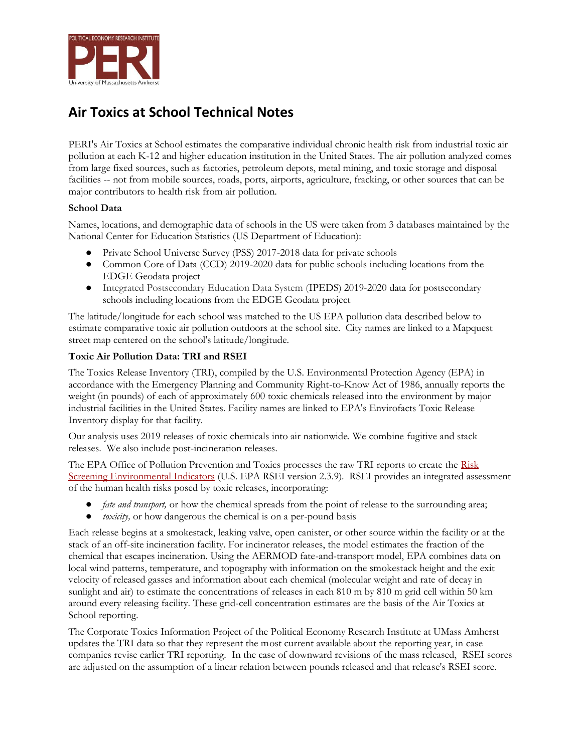

## **Air Toxics at School Technical Notes**

PERI's Air Toxics at School estimates the comparative individual chronic health risk from industrial toxic air pollution at each K-12 and higher education institution in the United States. The air pollution analyzed comes from large fixed sources, such as factories, petroleum depots, metal mining, and toxic storage and disposal facilities -- not from mobile sources, roads, ports, airports, agriculture, fracking, or other sources that can be major contributors to health risk from air pollution.

## **School Data**

Names, locations, and demographic data of schools in the US were taken from 3 databases maintained by the National Center for Education Statistics (US Department of Education):

- Private School Universe Survey (PSS) 2017-2018 data for private schools
- Common Core of Data (CCD) 2019-2020 data for public schools including locations from the EDGE Geodata project
- Integrated Postsecondary Education Data System (IPEDS) 2019-2020 data for postsecondary schools including locations from the EDGE Geodata project

The latitude/longitude for each school was matched to the US EPA pollution data described below to estimate comparative toxic air pollution outdoors at the school site. City names are linked to a Mapquest street map centered on the school's latitude/longitude.

## **Toxic Air Pollution Data: TRI and RSEI**

The Toxics Release Inventory (TRI), compiled by the U.S. Environmental Protection Agency (EPA) in accordance with the Emergency Planning and Community Right-to-Know Act of 1986, annually reports the weight (in pounds) of each of approximately 600 toxic chemicals released into the environment by major industrial facilities in the United States. Facility names are linked to EPA's Envirofacts Toxic Release Inventory display for that facility.

Our analysis uses 2019 releases of toxic chemicals into air nationwide. We combine fugitive and stack releases. We also include post-incineration releases.

The EPA Office of Pollution Prevention and Toxics processes the raw TRI reports to create the Risk [Screening Environmental Indicators](https://www.epa.gov/rsei) (U.S. EPA RSEI version 2.3.9). RSEI provides an integrated assessment of the human health risks posed by toxic releases, incorporating:

- *fate and transport,* or how the chemical spreads from the point of release to the surrounding area;
- *toxicity,* or how dangerous the chemical is on a per-pound basis

Each release begins at a smokestack, leaking valve, open canister, or other source within the facility or at the stack of an off-site incineration facility. For incinerator releases, the model estimates the fraction of the chemical that escapes incineration. Using the AERMOD fate-and-transport model, EPA combines data on local wind patterns, temperature, and topography with information on the smokestack height and the exit velocity of released gasses and information about each chemical (molecular weight and rate of decay in sunlight and air) to estimate the concentrations of releases in each 810 m by 810 m grid cell within 50 km around every releasing facility. These grid-cell concentration estimates are the basis of the Air Toxics at School reporting.

The Corporate Toxics Information Project of the Political Economy Research Institute at UMass Amherst updates the TRI data so that they represent the most current available about the reporting year, in case companies revise earlier TRI reporting. In the case of downward revisions of the mass released, RSEI scores are adjusted on the assumption of a linear relation between pounds released and that release's RSEI score.